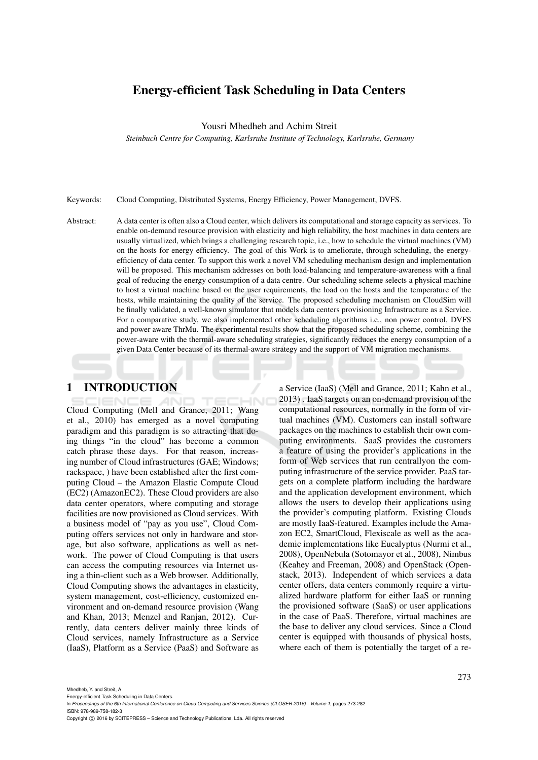# Energy-efficient Task Scheduling in Data Centers

Yousri Mhedheb and Achim Streit

*Steinbuch Centre for Computing, Karlsruhe Institute of Technology, Karlsruhe, Germany*

Keywords: Cloud Computing, Distributed Systems, Energy Efficiency, Power Management, DVFS.

Abstract: A data center is often also a Cloud center, which delivers its computational and storage capacity as services. To enable on-demand resource provision with elasticity and high reliability, the host machines in data centers are usually virtualized, which brings a challenging research topic, i.e., how to schedule the virtual machines (VM) on the hosts for energy efficiency. The goal of this Work is to ameliorate, through scheduling, the energyefficiency of data center. To support this work a novel VM scheduling mechanism design and implementation will be proposed. This mechanism addresses on both load-balancing and temperature-awareness with a final goal of reducing the energy consumption of a data centre. Our scheduling scheme selects a physical machine to host a virtual machine based on the user requirements, the load on the hosts and the temperature of the hosts, while maintaining the quality of the service. The proposed scheduling mechanism on CloudSim will be finally validated, a well-known simulator that models data centers provisioning Infrastructure as a Service. For a comparative study, we also implemented other scheduling algorithms i.e., non power control, DVFS and power aware ThrMu. The experimental results show that the proposed scheduling scheme, combining the power-aware with the thermal-aware scheduling strategies, significantly reduces the energy consumption of a given Data Center because of its thermal-aware strategy and the support of VM migration mechanisms.

### 1 INTRODUCTION

Cloud Computing (Mell and Grance, 2011; Wang et al., 2010) has emerged as a novel computing paradigm and this paradigm is so attracting that doing things "in the cloud" has become a common catch phrase these days. For that reason, increasing number of Cloud infrastructures (GAE; Windows; rackspace, ) have been established after the first computing Cloud – the Amazon Elastic Compute Cloud (EC2) (AmazonEC2). These Cloud providers are also data center operators, where computing and storage facilities are now provisioned as Cloud services. With a business model of "pay as you use", Cloud Computing offers services not only in hardware and storage, but also software, applications as well as network. The power of Cloud Computing is that users can access the computing resources via Internet using a thin-client such as a Web browser. Additionally, Cloud Computing shows the advantages in elasticity, system management, cost-efficiency, customized environment and on-demand resource provision (Wang and Khan, 2013; Menzel and Ranjan, 2012). Currently, data centers deliver mainly three kinds of Cloud services, namely Infrastructure as a Service (IaaS), Platform as a Service (PaaS) and Software as

a Service (IaaS) (Mell and Grance, 2011; Kahn et al., 2013) . IaaS targets on an on-demand provision of the computational resources, normally in the form of virtual machines (VM). Customers can install software packages on the machines to establish their own computing environments. SaaS provides the customers a feature of using the provider's applications in the form of Web services that run centrallyon the computing infrastructure of the service provider. PaaS targets on a complete platform including the hardware and the application development environment, which allows the users to develop their applications using the provider's computing platform. Existing Clouds are mostly IaaS-featured. Examples include the Amazon EC2, SmartCloud, Flexiscale as well as the academic implementations like Eucalyptus (Nurmi et al., 2008), OpenNebula (Sotomayor et al., 2008), Nimbus (Keahey and Freeman, 2008) and OpenStack (Openstack, 2013). Independent of which services a data center offers, data centers commonly require a virtualized hardware platform for either IaaS or running the provisioned software (SaaS) or user applications in the case of PaaS. Therefore, virtual machines are the base to deliver any cloud services. Since a Cloud center is equipped with thousands of physical hosts, where each of them is potentially the target of a re-

ISBN: 978-989-758-182-3

In *Proceedings of the 6th International Conference on Cloud Computing and Services Science (CLOSER 2016) - Volume 1*, pages 273-282

Copyright © 2016 by SCITEPRESS - Science and Technology Publications, Lda. All rights reserved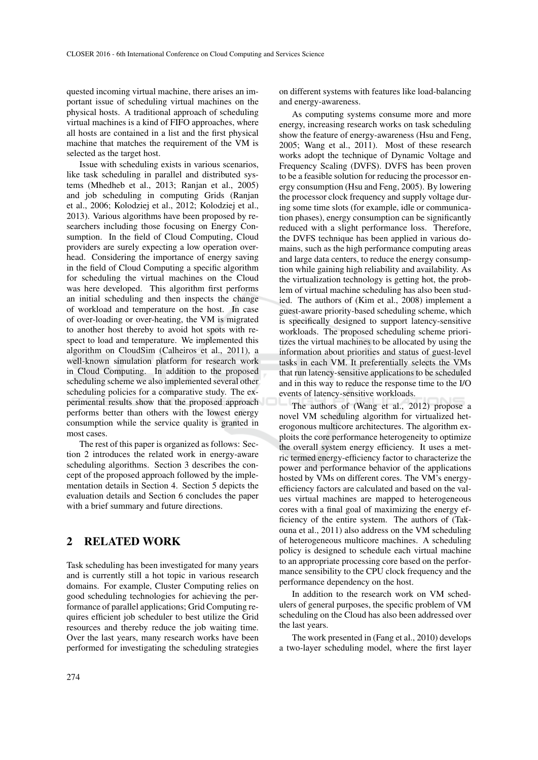quested incoming virtual machine, there arises an important issue of scheduling virtual machines on the physical hosts. A traditional approach of scheduling virtual machines is a kind of FIFO approaches, where all hosts are contained in a list and the first physical machine that matches the requirement of the VM is selected as the target host.

Issue with scheduling exists in various scenarios, like task scheduling in parallel and distributed systems (Mhedheb et al., 2013; Ranjan et al., 2005) and job scheduling in computing Grids (Ranjan et al., 2006; Kolodziej et al., 2012; Kolodziej et al., 2013). Various algorithms have been proposed by researchers including those focusing on Energy Consumption. In the field of Cloud Computing, Cloud providers are surely expecting a low operation overhead. Considering the importance of energy saving in the field of Cloud Computing a specific algorithm for scheduling the virtual machines on the Cloud was here developed. This algorithm first performs an initial scheduling and then inspects the change of workload and temperature on the host. In case of over-loading or over-heating, the VM is migrated to another host thereby to avoid hot spots with respect to load and temperature. We implemented this algorithm on CloudSim (Calheiros et al., 2011), a well-known simulation platform for research work in Cloud Computing. In addition to the proposed scheduling scheme we also implemented several other scheduling policies for a comparative study. The experimental results show that the proposed approach performs better than others with the lowest energy consumption while the service quality is granted in most cases.

The rest of this paper is organized as follows: Section 2 introduces the related work in energy-aware scheduling algorithms. Section 3 describes the concept of the proposed approach followed by the implementation details in Section 4. Section 5 depicts the evaluation details and Section 6 concludes the paper with a brief summary and future directions.

### 2 RELATED WORK

Task scheduling has been investigated for many years and is currently still a hot topic in various research domains. For example, Cluster Computing relies on good scheduling technologies for achieving the performance of parallel applications; Grid Computing requires efficient job scheduler to best utilize the Grid resources and thereby reduce the job waiting time. Over the last years, many research works have been performed for investigating the scheduling strategies on different systems with features like load-balancing and energy-awareness.

As computing systems consume more and more energy, increasing research works on task scheduling show the feature of energy-awareness (Hsu and Feng, 2005; Wang et al., 2011). Most of these research works adopt the technique of Dynamic Voltage and Frequency Scaling (DVFS). DVFS has been proven to be a feasible solution for reducing the processor energy consumption (Hsu and Feng, 2005). By lowering the processor clock frequency and supply voltage during some time slots (for example, idle or communication phases), energy consumption can be significantly reduced with a slight performance loss. Therefore, the DVFS technique has been applied in various domains, such as the high performance computing areas and large data centers, to reduce the energy consumption while gaining high reliability and availability. As the virtualization technology is getting hot, the problem of virtual machine scheduling has also been studied. The authors of (Kim et al., 2008) implement a guest-aware priority-based scheduling scheme, which is specifically designed to support latency-sensitive workloads. The proposed scheduling scheme prioritizes the virtual machines to be allocated by using the information about priorities and status of guest-level tasks in each VM. It preferentially selects the VMs that run latency-sensitive applications to be scheduled and in this way to reduce the response time to the I/O events of latency-sensitive workloads.

The authors of (Wang et al., 2012) propose a novel VM scheduling algorithm for virtualized heterogonous multicore architectures. The algorithm exploits the core performance heterogeneity to optimize the overall system energy efficiency. It uses a metric termed energy-efficiency factor to characterize the power and performance behavior of the applications hosted by VMs on different cores. The VM's energyefficiency factors are calculated and based on the values virtual machines are mapped to heterogeneous cores with a final goal of maximizing the energy efficiency of the entire system. The authors of (Takouna et al., 2011) also address on the VM scheduling of heterogeneous multicore machines. A scheduling policy is designed to schedule each virtual machine to an appropriate processing core based on the performance sensibility to the CPU clock frequency and the performance dependency on the host.

In addition to the research work on VM schedulers of general purposes, the specific problem of VM scheduling on the Cloud has also been addressed over the last years.

The work presented in (Fang et al., 2010) develops a two-layer scheduling model, where the first layer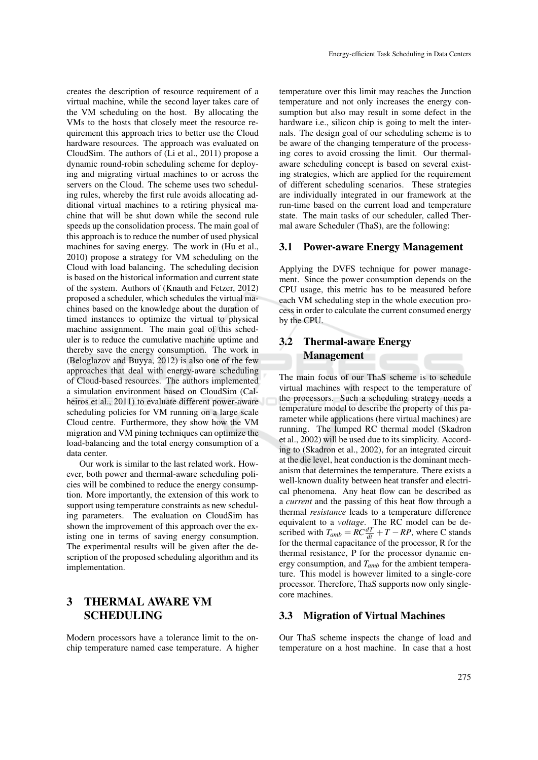creates the description of resource requirement of a virtual machine, while the second layer takes care of the VM scheduling on the host. By allocating the VMs to the hosts that closely meet the resource requirement this approach tries to better use the Cloud hardware resources. The approach was evaluated on CloudSim. The authors of (Li et al., 2011) propose a dynamic round-robin scheduling scheme for deploying and migrating virtual machines to or across the servers on the Cloud. The scheme uses two scheduling rules, whereby the first rule avoids allocating additional virtual machines to a retiring physical machine that will be shut down while the second rule speeds up the consolidation process. The main goal of this approach is to reduce the number of used physical machines for saving energy. The work in (Hu et al., 2010) propose a strategy for VM scheduling on the Cloud with load balancing. The scheduling decision is based on the historical information and current state of the system. Authors of (Knauth and Fetzer, 2012) proposed a scheduler, which schedules the virtual machines based on the knowledge about the duration of timed instances to optimize the virtual to physical machine assignment. The main goal of this scheduler is to reduce the cumulative machine uptime and thereby save the energy consumption. The work in (Beloglazov and Buyya, 2012) is also one of the few approaches that deal with energy-aware scheduling of Cloud-based resources. The authors implemented a simulation environment based on CloudSim (Calheiros et al., 2011) to evaluate different power-aware scheduling policies for VM running on a large scale Cloud centre. Furthermore, they show how the VM migration and VM pining techniques can optimize the load-balancing and the total energy consumption of a data center.

Our work is similar to the last related work. However, both power and thermal-aware scheduling policies will be combined to reduce the energy consumption. More importantly, the extension of this work to support using temperature constraints as new scheduling parameters. The evaluation on CloudSim has shown the improvement of this approach over the existing one in terms of saving energy consumption. The experimental results will be given after the description of the proposed scheduling algorithm and its implementation.

## 3 THERMAL AWARE VM SCHEDULING

Modern processors have a tolerance limit to the onchip temperature named case temperature. A higher

temperature over this limit may reaches the Junction temperature and not only increases the energy consumption but also may result in some defect in the hardware i.e., silicon chip is going to melt the internals. The design goal of our scheduling scheme is to be aware of the changing temperature of the processing cores to avoid crossing the limit. Our thermalaware scheduling concept is based on several existing strategies, which are applied for the requirement of different scheduling scenarios. These strategies are individually integrated in our framework at the run-time based on the current load and temperature state. The main tasks of our scheduler, called Thermal aware Scheduler (ThaS), are the following:

#### 3.1 Power-aware Energy Management

Applying the DVFS technique for power management. Since the power consumption depends on the CPU usage, this metric has to be measured before each VM scheduling step in the whole execution process in order to calculate the current consumed energy by the CPU.

# 3.2 Thermal-aware Energy Management

The main focus of our ThaS scheme is to schedule virtual machines with respect to the temperature of the processors. Such a scheduling strategy needs a temperature model to describe the property of this parameter while applications (here virtual machines) are running. The lumped RC thermal model (Skadron et al., 2002) will be used due to its simplicity. According to (Skadron et al., 2002), for an integrated circuit at the die level, heat conduction is the dominant mechanism that determines the temperature. There exists a well-known duality between heat transfer and electrical phenomena. Any heat flow can be described as a *current* and the passing of this heat flow through a thermal *resistance* leads to a temperature difference equivalent to a *voltage*. The RC model can be described with  $T_{amb} = RC \frac{dT}{dt} + T - RP$ , where C stands for the thermal capacitance of the processor, R for the thermal resistance, P for the processor dynamic energy consumption, and *Tamb* for the ambient temperature. This model is however limited to a single-core processor. Therefore, ThaS supports now only singlecore machines.

#### 3.3 Migration of Virtual Machines

Our ThaS scheme inspects the change of load and temperature on a host machine. In case that a host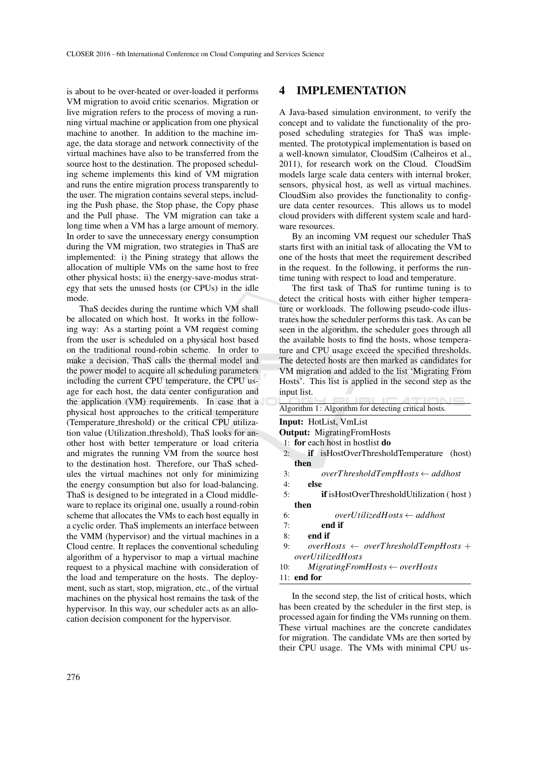is about to be over-heated or over-loaded it performs VM migration to avoid critic scenarios. Migration or live migration refers to the process of moving a running virtual machine or application from one physical machine to another. In addition to the machine image, the data storage and network connectivity of the virtual machines have also to be transferred from the source host to the destination. The proposed scheduling scheme implements this kind of VM migration and runs the entire migration process transparently to the user. The migration contains several steps, including the Push phase, the Stop phase, the Copy phase and the Pull phase. The VM migration can take a long time when a VM has a large amount of memory. In order to save the unnecessary energy consumption during the VM migration, two strategies in ThaS are implemented: i) the Pining strategy that allows the allocation of multiple VMs on the same host to free other physical hosts; ii) the energy-save-modus strategy that sets the unused hosts (or CPUs) in the idle mode.

ThaS decides during the runtime which VM shall be allocated on which host. It works in the following way: As a starting point a VM request coming from the user is scheduled on a physical host based on the traditional round-robin scheme. In order to make a decision, ThaS calls the thermal model and the power model to acquire all scheduling parameters including the current CPU temperature, the CPU usage for each host, the data center configuration and the application (VM) requirements. In case that a physical host approaches to the critical temperature (Temperature threshold) or the critical CPU utilization value (Utilization threshold), ThaS looks for another host with better temperature or load criteria and migrates the running VM from the source host to the destination host. Therefore, our ThaS schedules the virtual machines not only for minimizing the energy consumption but also for load-balancing. ThaS is designed to be integrated in a Cloud middleware to replace its original one, usually a round-robin scheme that allocates the VMs to each host equally in a cyclic order. ThaS implements an interface between the VMM (hypervisor) and the virtual machines in a Cloud centre. It replaces the conventional scheduling algorithm of a hypervisor to map a virtual machine request to a physical machine with consideration of the load and temperature on the hosts. The deployment, such as start, stop, migration, etc., of the virtual machines on the physical host remains the task of the hypervisor. In this way, our scheduler acts as an allocation decision component for the hypervisor.

## 4 IMPLEMENTATION

A Java-based simulation environment, to verify the concept and to validate the functionality of the proposed scheduling strategies for ThaS was implemented. The prototypical implementation is based on a well-known simulator, CloudSim (Calheiros et al., 2011), for research work on the Cloud. CloudSim models large scale data centers with internal broker, sensors, physical host, as well as virtual machines. CloudSim also provides the functionality to configure data center resources. This allows us to model cloud providers with different system scale and hardware resources.

By an incoming VM request our scheduler ThaS starts first with an initial task of allocating the VM to one of the hosts that meet the requirement described in the request. In the following, it performs the runtime tuning with respect to load and temperature.

The first task of ThaS for runtime tuning is to detect the critical hosts with either higher temperature or workloads. The following pseudo-code illustrates how the scheduler performs this task. As can be seen in the algorithm, the scheduler goes through all the available hosts to find the hosts, whose temperature and CPU usage exceed the specified thresholds. The detected hosts are then marked as candidates for VM migration and added to the list 'Migrating From Hosts'. This list is applied in the second step as the input list.

Algorithm 1: Algorithm for detecting critical hosts. Input: HotList, VmList Output: MigratingFromHosts 1: for each host in hostlist do 2: if isHostOverThresholdTemperature (host) then 3: *overT hresholdTempHosts* ← *addhost* else 5: if isHostOverThresholdUtilization ( host ) then 6: *overUtilizedHosts* ← *addhost* end if 8: end if 9: *overHosts* ← *overT hresholdTempHosts* + *overUtilizedHosts* 10: *MigratingFromHosts* ← *overHosts* 11: end for

In the second step, the list of critical hosts, which has been created by the scheduler in the first step, is processed again for finding the VMs running on them. These virtual machines are the concrete candidates for migration. The candidate VMs are then sorted by their CPU usage. The VMs with minimal CPU us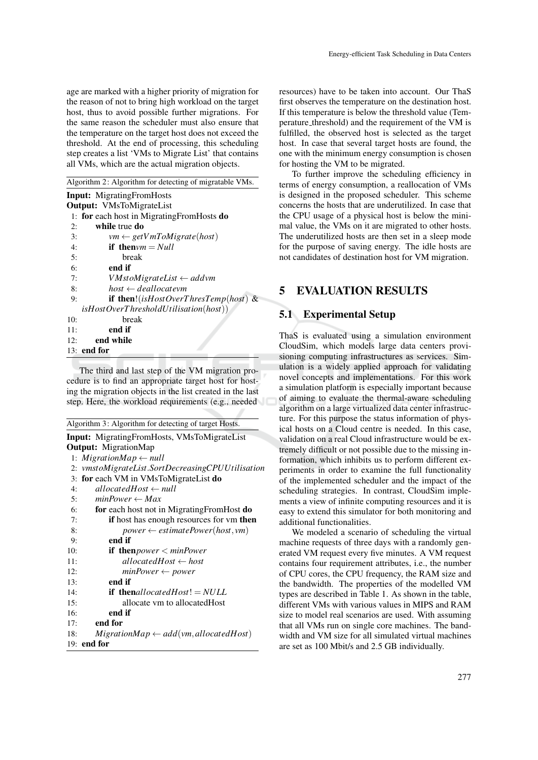age are marked with a higher priority of migration for the reason of not to bring high workload on the target host, thus to avoid possible further migrations. For the same reason the scheduler must also ensure that the temperature on the target host does not exceed the threshold. At the end of processing, this scheduling step creates a list 'VMs to Migrate List' that contains all VMs, which are the actual migration objects.

Algorithm 2: Algorithm for detecting of migratable VMs.

|     | <b>Input:</b> MigratingFromHosts                                 |
|-----|------------------------------------------------------------------|
|     | <b>Output:</b> VMsToMigrateList                                  |
|     | 1: for each host in Migrating From Hosts do                      |
| 2:  | while true do                                                    |
| 3:  | $vm \leftarrow getVmToMigrate(host)$                             |
| 4:  | if then $vm = Null$                                              |
| 5:  | break                                                            |
| 6:  | end if                                                           |
| 7:  | $VMstoMigrateList \leftarrow addvm$                              |
| 8:  | $host \leftarrow deallocatevm$                                   |
| 9:  | if then!(isHostOverThresTemp(host) &                             |
|     | $is HostOverThresholdUtilisation(host))$                         |
| 10: | break                                                            |
| 11: | end if                                                           |
| 12: | end while                                                        |
|     | $\mathbf{A}$ $\mathbf{A}$ $\mathbf{B}$ $\mathbf{A}$ $\mathbf{B}$ |

13: end for

The third and last step of the VM migration procedure is to find an appropriate target host for hosting the migration objects in the list created in the last step. Here, the workload requirements (e.g., needed

| Algorithm 3: Algorithm for detecting of target Hosts.    |
|----------------------------------------------------------|
| <b>Input:</b> MigratingFromHosts, VMsToMigrateList       |
| <b>Output:</b> MigrationMap                              |
| 1: MigrationMap $\leftarrow$ null                        |
| 2: vmstoMigrateList.SortDecreasingCPUUtilisation         |
| 3: for each VM in VMsToMigrateList do                    |
| allocated Host $\leftarrow$ null<br>4:                   |
| $minPower \leftarrow Max$<br>5:                          |
| 6:<br>for each host not in Migrating From Host do        |
| 7:<br><b>if</b> host has enough resources for ym then    |
| $power \leftarrow estimatePower(host,vm)$<br>8:          |
| end if<br>9:                                             |
| 10:<br>if then <i>power</i> $\langle$ <i>minPower</i>    |
| allocated Host $\leftarrow$ host<br>11:                  |
| $minPower \leftarrow power$<br>12:                       |
| end if<br>13:                                            |
| <b>if then</b> allocatedHost! $= NULL$<br>14:            |
| allocate vm to allocated Host<br>15:                     |
| end if<br>16:                                            |
| end for<br>17:                                           |
| $MigrationMap \leftarrow add(vm, allocated Host)$<br>18: |
| $19:$ end for                                            |

resources) have to be taken into account. Our ThaS first observes the temperature on the destination host. If this temperature is below the threshold value (Temperature threshold) and the requirement of the VM is fulfilled, the observed host is selected as the target host. In case that several target hosts are found, the one with the minimum energy consumption is chosen for hosting the VM to be migrated.

To further improve the scheduling efficiency in terms of energy consumption, a reallocation of VMs is designed in the proposed scheduler. This scheme concerns the hosts that are underutilized. In case that the CPU usage of a physical host is below the minimal value, the VMs on it are migrated to other hosts. The underutilized hosts are then set in a sleep mode for the purpose of saving energy. The idle hosts are not candidates of destination host for VM migration.

## 5 EVALUATION RESULTS

### 5.1 Experimental Setup

ThaS is evaluated using a simulation environment CloudSim, which models large data centers provisioning computing infrastructures as services. Simulation is a widely applied approach for validating novel concepts and implementations. For this work a simulation platform is especially important because of aiming to evaluate the thermal-aware scheduling algorithm on a large virtualized data center infrastructure. For this purpose the status information of physical hosts on a Cloud centre is needed. In this case, validation on a real Cloud infrastructure would be extremely difficult or not possible due to the missing information, which inhibits us to perform different experiments in order to examine the full functionality of the implemented scheduler and the impact of the scheduling strategies. In contrast, CloudSim implements a view of infinite computing resources and it is easy to extend this simulator for both monitoring and additional functionalities.

We modeled a scenario of scheduling the virtual machine requests of three days with a randomly generated VM request every five minutes. A VM request contains four requirement attributes, i.e., the number of CPU cores, the CPU frequency, the RAM size and the bandwidth. The properties of the modelled VM types are described in Table 1. As shown in the table, different VMs with various values in MIPS and RAM size to model real scenarios are used. With assuming that all VMs run on single core machines. The bandwidth and VM size for all simulated virtual machines are set as 100 Mbit/s and 2.5 GB individually.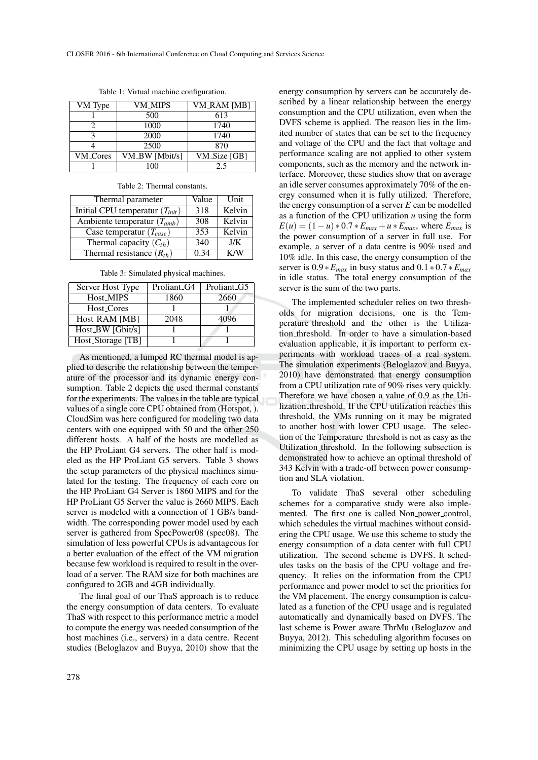| VM Type         | VM_MIPS        | <b>VM_RAM</b> [MB] |
|-----------------|----------------|--------------------|
|                 | 500            | 613                |
|                 | 1000           | 1740               |
|                 | 2000           | 1740               |
|                 | 2500           | 870                |
| <b>VM_Cores</b> | VM_BW [Mbit/s] | VM_Size [GB]       |
|                 | 100            | 2.5                |

Table 1: Virtual machine configuration.

| Table 2: Thermal constants. |
|-----------------------------|
|-----------------------------|

| Thermal parameter                   | Value | Unit   |
|-------------------------------------|-------|--------|
| Initial CPU temperatur $(T_{init})$ | 318   | Kelvin |
| Ambiente temperatur $(T_{amb})$     | 308   | Kelvin |
| Case temperatur $(T_{case})$        | 353   | Kelvin |
| Thermal capacity $(C_{th})$         | 340   | J/K    |
| Thermal resistance $(R_{th})$       | 0.34  | K/W    |

Table 3: Simulated physical machines.

| Server Host Type  | Proliant <sub>-G4</sub> | Proliant <sub>-G5</sub> |
|-------------------|-------------------------|-------------------------|
| Host_MIPS         | 1860                    | 2660                    |
| Host_Cores        |                         |                         |
| Host_RAM [MB]     | 2048                    | 4096                    |
| Host_BW [Gbit/s]  |                         |                         |
| Host_Storage [TB] |                         |                         |

As mentioned, a lumped RC thermal model is applied to describe the relationship between the temperature of the processor and its dynamic energy consumption. Table 2 depicts the used thermal constants for the experiments. The values in the table are typical values of a single core CPU obtained from (Hotspot, ). CloudSim was here configured for modeling two data centers with one equipped with 50 and the other 250 different hosts. A half of the hosts are modelled as the HP ProLiant G4 servers. The other half is modeled as the HP ProLiant G5 servers. Table 3 shows the setup parameters of the physical machines simulated for the testing. The frequency of each core on the HP ProLiant G4 Server is 1860 MIPS and for the HP ProLiant G5 Server the value is 2660 MIPS. Each server is modeled with a connection of 1 GB/s bandwidth. The corresponding power model used by each server is gathered from SpecPower08 (spec08). The simulation of less powerful CPUs is advantageous for a better evaluation of the effect of the VM migration because few workload is required to result in the overload of a server. The RAM size for both machines are configured to 2GB and 4GB individually.

The final goal of our ThaS approach is to reduce the energy consumption of data centers. To evaluate ThaS with respect to this performance metric a model to compute the energy was needed consumption of the host machines (i.e., servers) in a data centre. Recent studies (Beloglazov and Buyya, 2010) show that the

energy consumption by servers can be accurately described by a linear relationship between the energy consumption and the CPU utilization, even when the DVFS scheme is applied. The reason lies in the limited number of states that can be set to the frequency and voltage of the CPU and the fact that voltage and performance scaling are not applied to other system components, such as the memory and the network interface. Moreover, these studies show that on average an idle server consumes approximately 70% of the energy consumed when it is fully utilized. Therefore, the energy consumption of a server *E* can be modelled as a function of the CPU utilization *u* using the form  $E(u) = (1 - u) * 0.7 * E_{max} + u * E_{max}$ , where  $E_{max}$  is the power consumption of a server in full use. For example, a server of a data centre is 90% used and 10% idle. In this case, the energy consumption of the server is  $0.9 * E_{max}$  in busy status and  $0.1 * 0.7 * E_{max}$ in idle status. The total energy consumption of the server is the sum of the two parts.

The implemented scheduler relies on two thresholds for migration decisions, one is the Temperature threshold and the other is the Utilization threshold. In order to have a simulation-based evaluation applicable, it is important to perform experiments with workload traces of a real system. The simulation experiments (Beloglazov and Buyya, 2010) have demonstrated that energy consumption from a CPU utilization rate of 90% rises very quickly. Therefore we have chosen a value of 0.9 as the Utilization threshold. If the CPU utilization reaches this threshold, the VMs running on it may be migrated to another host with lower CPU usage. The selection of the Temperature threshold is not as easy as the Utilization threshold. In the following subsection is demonstrated how to achieve an optimal threshold of 343 Kelvin with a trade-off between power consumption and SLA violation.

To validate ThaS several other scheduling schemes for a comparative study were also implemented. The first one is called Non\_power\_control, which schedules the virtual machines without considering the CPU usage. We use this scheme to study the energy consumption of a data center with full CPU utilization. The second scheme is DVFS. It schedules tasks on the basis of the CPU voltage and frequency. It relies on the information from the CPU performance and power model to set the priorities for the VM placement. The energy consumption is calculated as a function of the CPU usage and is regulated automatically and dynamically based on DVFS. The last scheme is Power aware ThrMu (Beloglazov and Buyya, 2012). This scheduling algorithm focuses on minimizing the CPU usage by setting up hosts in the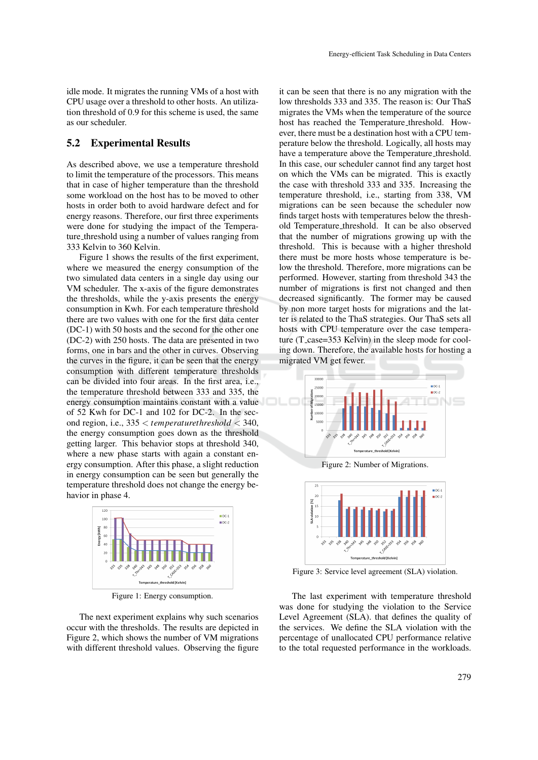idle mode. It migrates the running VMs of a host with CPU usage over a threshold to other hosts. An utilization threshold of 0.9 for this scheme is used, the same as our scheduler.

#### 5.2 Experimental Results

As described above, we use a temperature threshold to limit the temperature of the processors. This means that in case of higher temperature than the threshold some workload on the host has to be moved to other hosts in order both to avoid hardware defect and for energy reasons. Therefore, our first three experiments were done for studying the impact of the Temperature threshold using a number of values ranging from 333 Kelvin to 360 Kelvin.

Figure 1 shows the results of the first experiment, where we measured the energy consumption of the two simulated data centers in a single day using our VM scheduler. The x-axis of the figure demonstrates the thresholds, while the y-axis presents the energy consumption in Kwh. For each temperature threshold there are two values with one for the first data center (DC-1) with 50 hosts and the second for the other one (DC-2) with 250 hosts. The data are presented in two forms, one in bars and the other in curves. Observing the curves in the figure, it can be seen that the energy consumption with different temperature thresholds can be divided into four areas. In the first area, i.e., the temperature threshold between 333 and 335, the energy consumption maintains constant with a value of 52 Kwh for DC-1 and 102 for DC-2. In the second region, i.e., 335 < *temperaturethreshold* < 340, the energy consumption goes down as the threshold getting larger. This behavior stops at threshold 340, where a new phase starts with again a constant energy consumption. After this phase, a slight reduction in energy consumption can be seen but generally the temperature threshold does not change the energy behavior in phase 4.



Figure 1: Energy consumption.

The next experiment explains why such scenarios occur with the thresholds. The results are depicted in Figure 2, which shows the number of VM migrations with different threshold values. Observing the figure it can be seen that there is no any migration with the low thresholds 333 and 335. The reason is: Our ThaS migrates the VMs when the temperature of the source host has reached the Temperature threshold. However, there must be a destination host with a CPU temperature below the threshold. Logically, all hosts may have a temperature above the Temperature<sub>-threshold</sub>. In this case, our scheduler cannot find any target host on which the VMs can be migrated. This is exactly the case with threshold 333 and 335. Increasing the temperature threshold, i.e., starting from 338, VM migrations can be seen because the scheduler now finds target hosts with temperatures below the threshold Temperature threshold. It can be also observed that the number of migrations growing up with the threshold. This is because with a higher threshold there must be more hosts whose temperature is below the threshold. Therefore, more migrations can be performed. However, starting from threshold 343 the number of migrations is first not changed and then decreased significantly. The former may be caused by non more target hosts for migrations and the latter is related to the ThaS strategies. Our ThaS sets all hosts with CPU temperature over the case temperature (T\_case=353 Kelvin) in the sleep mode for cooling down. Therefore, the available hosts for hosting a migrated VM get fewer.



Figure 2: Number of Migrations.



Figure 3: Service level agreement (SLA) violation.

The last experiment with temperature threshold was done for studying the violation to the Service Level Agreement (SLA). that defines the quality of the services. We define the SLA violation with the percentage of unallocated CPU performance relative to the total requested performance in the workloads.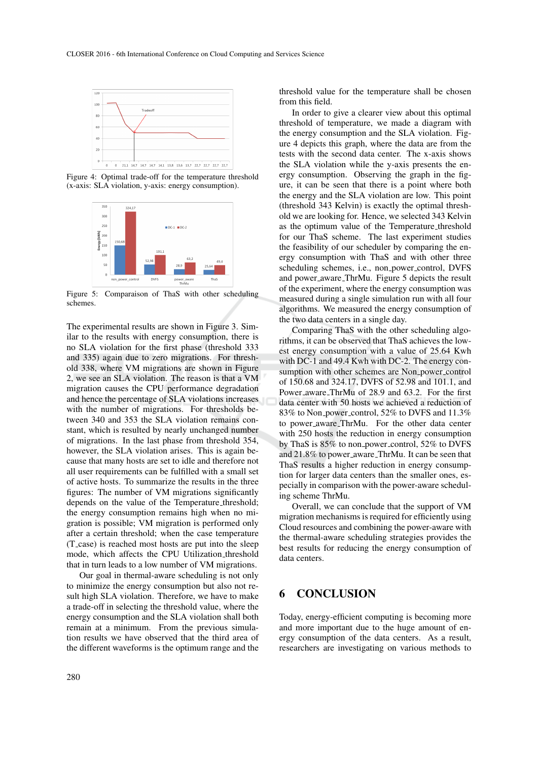

Figure 4: Optimal trade-off for the temperature threshold (x-axis: SLA violation, y-axis: energy consumption).



Figure 5: Comparaison of ThaS with other scheduling schemes.

The experimental results are shown in Figure 3. Similar to the results with energy consumption, there is no SLA violation for the first phase (threshold 333 and 335) again due to zero migrations. For threshold 338, where VM migrations are shown in Figure 2, we see an SLA violation. The reason is that a VM migration causes the CPU performance degradation and hence the percentage of SLA violations increases with the number of migrations. For thresholds between 340 and 353 the SLA violation remains constant, which is resulted by nearly unchanged number of migrations. In the last phase from threshold 354, however, the SLA violation arises. This is again because that many hosts are set to idle and therefore not all user requirements can be fulfilled with a small set of active hosts. To summarize the results in the three figures: The number of VM migrations significantly depends on the value of the Temperature<sub>-threshold</sub>; the energy consumption remains high when no migration is possible; VM migration is performed only after a certain threshold; when the case temperature (T case) is reached most hosts are put into the sleep mode, which affects the CPU Utilization threshold that in turn leads to a low number of VM migrations.

Our goal in thermal-aware scheduling is not only to minimize the energy consumption but also not result high SLA violation. Therefore, we have to make a trade-off in selecting the threshold value, where the energy consumption and the SLA violation shall both remain at a minimum. From the previous simulation results we have observed that the third area of the different waveforms is the optimum range and the

from this field.

ure, it can be seen that there is a point where both the energy and the SLA violation are low. This point (threshold 343 Kelvin) is exactly the optimal threshold we are looking for. Hence, we selected 343 Kelvin as the optimum value of the Temperature threshold for our ThaS scheme. The last experiment studies the feasibility of our scheduler by comparing the energy consumption with ThaS and with other three scheduling schemes, i.e., non power control, DVFS and power aware ThrMu. Figure 5 depicts the result of the experiment, where the energy consumption was measured during a single simulation run with all four algorithms. We measured the energy consumption of the two data centers in a single day.

threshold value for the temperature shall be chosen

In order to give a clearer view about this optimal threshold of temperature, we made a diagram with the energy consumption and the SLA violation. Figure 4 depicts this graph, where the data are from the tests with the second data center. The x-axis shows the SLA violation while the y-axis presents the energy consumption. Observing the graph in the fig-

Comparing ThaS with the other scheduling algorithms, it can be observed that ThaS achieves the lowest energy consumption with a value of 25.64 Kwh with DC-1 and 49.4 Kwh with DC-2. The energy consumption with other schemes are Non<sub>-power-control</sub> of 150.68 and 324.17, DVFS of 52.98 and 101.1, and Power aware ThrMu of 28.9 and 63.2. For the first data center with 50 hosts we achieved a reduction of 83% to Non power control, 52% to DVFS and 11.3% to power aware ThrMu. For the other data center with 250 hosts the reduction in energy consumption by ThaS is 85% to non power control, 52% to DVFS and 21.8% to power\_aware\_ThrMu. It can be seen that ThaS results a higher reduction in energy consumption for larger data centers than the smaller ones, especially in comparison with the power-aware scheduling scheme ThrMu.

Overall, we can conclude that the support of VM migration mechanisms is required for efficiently using Cloud resources and combining the power-aware with the thermal-aware scheduling strategies provides the best results for reducing the energy consumption of data centers.

## 6 CONCLUSION

Today, energy-efficient computing is becoming more and more important due to the huge amount of energy consumption of the data centers. As a result, researchers are investigating on various methods to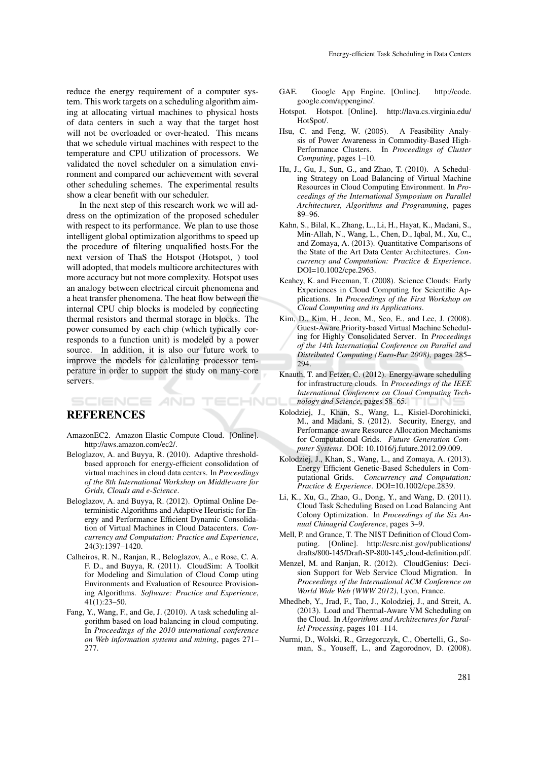reduce the energy requirement of a computer system. This work targets on a scheduling algorithm aiming at allocating virtual machines to physical hosts of data centers in such a way that the target host will not be overloaded or over-heated. This means that we schedule virtual machines with respect to the temperature and CPU utilization of processors. We validated the novel scheduler on a simulation environment and compared our achievement with several other scheduling schemes. The experimental results show a clear benefit with our scheduler.

In the next step of this research work we will address on the optimization of the proposed scheduler with respect to its performance. We plan to use those intelligent global optimization algorithms to speed up the procedure of filtering unqualified hosts.For the next version of ThaS the Hotspot (Hotspot, ) tool will adopted, that models multicore architectures with more accuracy but not more complexity. Hotspot uses an analogy between electrical circuit phenomena and a heat transfer phenomena. The heat flow between the internal CPU chip blocks is modeled by connecting thermal resistors and thermal storage in blocks. The power consumed by each chip (which typically corresponds to a function unit) is modeled by a power source. In addition, it is also our future work to improve the models for calculating processor temperature in order to support the study on many-core servers.

### REFERENCES

SCIENCE *AND* 

- AmazonEC2. Amazon Elastic Compute Cloud. [Online]. http://aws.amazon.com/ec2/.
- Beloglazov, A. and Buyya, R. (2010). Adaptive thresholdbased approach for energy-efficient consolidation of virtual machines in cloud data centers. In *Proceedings of the 8th International Workshop on Middleware for Grids, Clouds and e-Science*.
- Beloglazov, A. and Buyya, R. (2012). Optimal Online Deterministic Algorithms and Adaptive Heuristic for Energy and Performance Efficient Dynamic Consolidation of Virtual Machines in Cloud Datacenters. *Concurrency and Computation: Practice and Experience*, 24(3):1397–1420.
- Calheiros, R. N., Ranjan, R., Beloglazov, A., e Rose, C. A. F. D., and Buyya, R. (2011). CloudSim: A Toolkit for Modeling and Simulation of Cloud Comp uting Environments and Evaluation of Resource Provisioning Algorithms. *Software: Practice and Experience*, 41(1):23–50.
- Fang, Y., Wang, F., and Ge, J. (2010). A task scheduling algorithm based on load balancing in cloud computing. In *Proceedings of the 2010 international conference on Web information systems and mining*, pages 271– 277.
- GAE. Google App Engine. [Online]. http://code. google.com/appengine/.
- Hotspot. Hotspot. [Online]. http://lava.cs.virginia.edu/ HotSpot/.
- Hsu, C. and Feng, W. (2005). A Feasibility Analysis of Power Awareness in Commodity-Based High-Performance Clusters. In *Proceedings of Cluster Computing*, pages 1–10.
- Hu, J., Gu, J., Sun, G., and Zhao, T. (2010). A Scheduling Strategy on Load Balancing of Virtual Machine Resources in Cloud Computing Environment. In *Proceedings of the International Symposium on Parallel Architectures, Algorithms and Programming*, pages 89–96.
- Kahn, S., Bilal, K., Zhang, L., Li, H., Hayat, K., Madani, S., Min-Allah, N., Wang, L., Chen, D., Iqbal, M., Xu, C., and Zomaya, A. (2013). Quantitative Comparisons of the State of the Art Data Center Architectures. *Concurrency and Computation: Practice & Experience*. DOI=10.1002/cpe.2963.
- Keahey, K. and Freeman, T. (2008). Science Clouds: Early Experiences in Cloud Computing for Scientific Applications. In *Proceedings of the First Workshop on Cloud Computing and its Applications*.
- Kim, D., Kim, H., Jeon, M., Seo, E., and Lee, J. (2008). Guest-Aware Priority-based Virtual Machine Scheduling for Highly Consolidated Server. In *Proceedings of the 14th International Conference on Parallel and Distributed Computing (Euro-Par 2008)*, pages 285– 294.
- Knauth, T. and Fetzer, C. (2012). Energy-aware scheduling for infrastructure clouds. In *Proceedings of the IEEE International Conference on Cloud Computing Tech-***ECHNO** *nology and Science*, pages 58–65.
	- Kolodziej, J., Khan, S., Wang, L., Kisiel-Dorohinicki, M., and Madani, S. (2012). Security, Energy, and Performance-aware Resource Allocation Mechanisms for Computational Grids. *Future Generation Computer Systems*. DOI: 10.1016/j.future.2012.09.009.
	- Kolodziej, J., Khan, S., Wang, L., and Zomaya, A. (2013). Energy Efficient Genetic-Based Schedulers in Computational Grids. *Concurrency and Computation: Practice & Experience*. DOI=10.1002/cpe.2839.
	- Li, K., Xu, G., Zhao, G., Dong, Y., and Wang, D. (2011). Cloud Task Scheduling Based on Load Balancing Ant Colony Optimization. In *Proceedings of the Six Annual Chinagrid Conference*, pages 3–9.
	- Mell, P. and Grance, T. The NIST Definition of Cloud Computing. [Online]. http://csrc.nist.gov/publications/ drafts/800-145/Draft-SP-800-145 cloud-definition.pdf.
	- Menzel, M. and Ranjan, R. (2012). CloudGenius: Decision Support for Web Service Cloud Migration. In *Proceedings of the International ACM Conference on World Wide Web (WWW 2012)*, Lyon, France.
	- Mhedheb, Y., Jrad, F., Tao, J., Kolodziej, J., and Streit, A. (2013). Load and Thermal-Aware VM Scheduling on the Cloud. In *Algorithms and Architectures for Parallel Processing*, pages 101–114.
	- Nurmi, D., Wolski, R., Grzegorczyk, C., Obertelli, G., Soman, S., Youseff, L., and Zagorodnov, D. (2008).